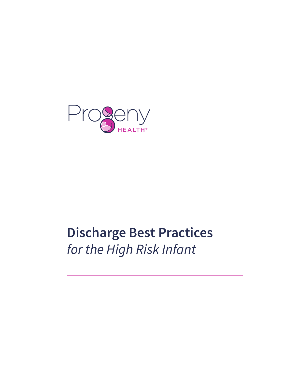

# **Discharge Best Practices** *for the High Risk Infant*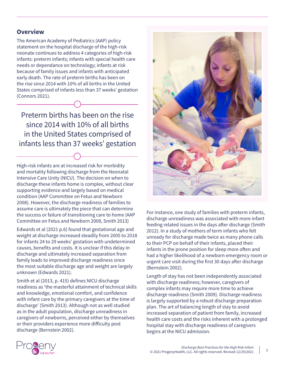#### **Overview**

The American Academy of Pediatrics (AAP) policy statement on the hospital discharge of the high-risk neonate continues to address 4 categories of high-risk infants: preterm infants; infants with special health care needs or dependance on technology; infants at risk because of family issues and infants with anticipated early death. The rate of preterm births has been on the rise since 2014 with 10% of all births in the United States comprised of infants less than 37 weeks' gestation (Connors 2021).

Preterm births has been on the rise since 2014 with 10% of all births in the United States comprised of infants less than 37 weeks' gestation

High-risk infants are at increased risk for morbidity and mortality following discharge from the Neonatal Intensive Care Unity (NICU). The decision on when to discharge these infants home is complex, without clear supporting evidence and largely based on medical condition (AAP Committee on Fetus and Newborn 2008). However, the discharge readiness of families to assume care is ultimately the piece that can determine the success or failure of transitioning care to home (AAP Committee on Fetus and Newborn 2008, Smith 2013)

Edwards et al (2021 p.6) found that gestational age and weight at discharge increased steadily from 2005 to 2018 for infants 24 to 29 weeks' gestation with undetermined causes, benefits and costs. It is unclear if this delay in discharge and ultimately increased separation from family leads to improved discharge readiness since the most suitable discharge age and weight are largely unknown (Edwards 2021).

Smith et al (2013, p. 415) defines NICU discharge readiness as 'the masterful attainment of technical skills and knowledge, emotional comfort, and confidence with infant care by the primary caregivers at the time of discharge' (Smith 2013). Although not as well studied as in the adult population, discharge unreadiness in caregivers of newborns, perceived either by themselves or their providers experience more difficulty post discharge (Bernstein 2002).



For instance, one study of families with preterm infants, discharge unreadiness was associated with more infant feeding related issues in the days after discharge (Smith 2012). In a study of mothers of term infants who felt unready for discharge made twice as many phone calls to their PCP on behalf of their infants, placed their infants in the prone position for sleep more often and had a higher likelihood of a newborn emergency room or urgent care visit during the first 30 days after discharge (Bernstein 2002).

Length of stay has not been independently associated with discharge readiness; however, caregivers of complex infants may require more time to achieve discharge readiness (Smith 2009). Discharge readiness is largely supported by a robust discharge preparation plan. The art of balancing length of stay to avoid increased separation of patient from family, increased health care costs and the risks inherent with a prolonged hospital stay with discharge readiness of caregivers begins at the NICU admission.

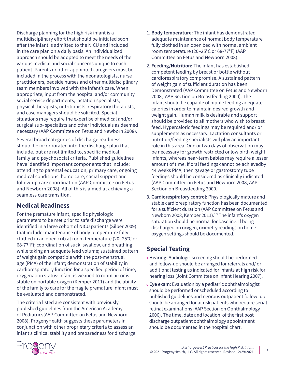Discharge planning for the high risk infant is a multidisciplinary effort that should be initiated soon after the infant is admitted to the NICU and included in the care plan on a daily basis. An individualized approach should be adopted to meet the needs of the various medical and social concerns unique to each patient. Parents or other appointed caregivers must be included in the process with the neonatologists, nurse practitioners, bedside nurses and other multidisciplinary team members involved with the infant's care. When appropriate, input from the hospital and/or community social service departments, lactation specialists, physical therapists, nutritionists, respiratory therapists, and case managers should be solicited. Special situations may require the expertise of medical and/or surgical sub- specialists and other individuals as deemed necessary (AAP Committee on Fetus and Newborn 2008).

Several broad categories of discharge readiness should be incorporated into the discharge plan that include, but are not limited to, specific medical, family and psychosocial criteria. Published guidelines have identified important components that include: attending to parental education, primary care, ongoing medical conditions, home care, social support and follow-up care coordination (AAP Committee on Fetus and Newborn 2008). All of this is aimed at achieving a seamless care transition.

# **Medical Readiness**

For the premature infant, specific physiologic parameters to be met prior to safe discharge were identified in a large cohort of NICU patients (Silber 2009) that include: maintenance of body temperature fully clothed in an open crib at room temperature (20- 25°C or 68-77°F); coordination of suck, swallow, and breathing while taking an adequate feed volume; sustained pattern of weight gain compatible with the post-menstrual age (PMA) of the infant; demonstration of stability in cardiorespiratory function for a specified period of time; oxygenation status: infant is weaned to room air or is stable on portable oxygen (Kemper 2011) and the ability of the family to care for the fragile premature infant must be evaluated and demonstrated.

The criteria listed are consistent with previously published guidelines from the American Academy of Pediatrics(AAP Committee on Fetus and Newborn 2008). ProgenyHealth suggests these parameters in conjunction with other proprietary criteria to assess an infant's clinical stability and preparedness for discharge:

- 1. **Body temperature:** The infant has demonstrated adequate maintenance of normal body temperature fully clothed in an open bed with normal ambient room temperature (20–25°C or 68-77°F) (AAP Committee on Fetus and Newborn 2008).
- 2. **Feeding/Nutrition:** The infant has established competent feeding by breast or bottle without cardiorespiratory compromise. A sustained pattern of weight gain of sufficient duration has been Demonstrated (AAP Committee on Fetus and Newborn 2008, AAP Section on Breastfeeding 2000). The infant should be capable of nipple feeding adequate calories in order to maintain desired growth and weight gain. Human milk is desirable and support should be provided to all mothers who wish to breast feed. Hypercaloric feedings may be required and/ or supplements as necessary. Lactation consultants or nutrition/feeding specialists will play an important role in this area. One or two days of observation may be necessary for growth restricted or low birth weight infants, whereas near-term babies may require a lesser amount of time. If oral feedings cannot be achievedby 44 weeks PMA, then gavage or gastrostomy tube feedings should be considered as clinically indicated (AAP Committee on Fetus and Newborn 2008, AAP Section on Breastfeeding 2000.
- 3. **Cardiorespiratory control:** Physiologically mature and stable cardiorespiratory function has been documented for a sufficient duration (AAP Committee on Fetus and Newborn 2008, Kemper 2011).<sup>1,3</sup> The infant's oxygen saturation should be normal for baseline. If being discharged on oxygen, oximetry readings on home oxygen settings should be documented.

# **Special Testing**

- **• Hearing:** Audiologic screening should be performed and follow-up should be arranged for referrals and/ or additional testing as indicated for infants at high risk for hearing loss (Joint Committee on Infant Hearing 2007).
- **Eye exam:** Evaluation by a pediatric ophthalmologist should be performed or scheduled according to published guidelines and rigorous outpatient follow- up should be arranged for at risk patients who require serial retinal examinations (AAP Section on Ophthalmology 2006). The time, date and location of the first post discharge outpatient ophthalmology appointment should be documented in the hospital chart.

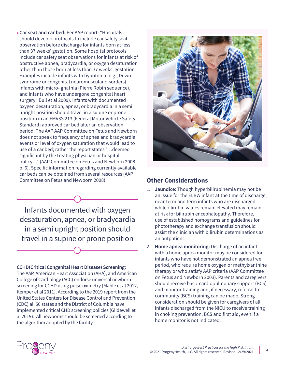**• Car seat and car bed:** Per AAP report: "Hospitals should develop protocols to include car safety seat observation before discharge for infants born at less than 37 weeks' gestation. Some hospital protocols include car safety seat observations for infants at risk of obstructive apnea, bradycardia, or oxygen desaturation other than those born at less than 37 weeks' gestation. Examples include infants with hypotonia (e.g., Down syndrome or congenital neuromuscular disorders), infants with micro- gnathia (Pierre Robin sequence), and infants who have undergone congenital heart surgery" Bull et al 2009). Infants with documented oxygen desaturation, apnea, or bradycardia in a semi upright position should travel in a supine or prone position in an FMVSS 213 (Federal Motor Vehicle Safety Standard) approved car bed after an observation period. The AAP AAP Committee on Fetus and Newborn does not speak to frequency of apnea and bradycardia events or level of oxygen saturation that would lead to use of a car bed; rather the report states "…deemed significant by the treating physician or hospital policy…" (AAP Committee on Fetus and Newborn 2008 p. 6). Specific information regarding currently available car beds can be obtained from several resources (AAP Committee on Fetus and Newborn 2008).

Infants documented with oxygen desaturation, apnea, or bradycardia in a semi upright position should travel in a supine or prone position

#### **CCHD(Critical Congenital Heart Disease) Screening:**

The AAP, American Heart Association (AHA), and American College of Cardiology (ACC) endorse universal newborn screening for CCHD using pulse oximetry (Mahle et al 2012, Kemper et al 2011). According to the 2019 report from the United States Centers for Disease Control and Prevention (CDC) all 50 states and the District of Columbia have implemented critical CHD screening policies (Glidewell et al 2019). All newborns should be screened according to the algorithm adopted by the facility.



#### **Other Considerations**

- 1. **Jaundice:** Though hyperbilirubinemia may not be an issue for the ELBW infant at the time of discharge, near-term and term infants who are discharged whilebilirubin values remain elevated may remain at risk for bilirubin encephalopathy. Therefore, use of established nomograms and guidelines for phototherapy and exchange transfusion should assist the clinician with bilirubin determinations as an outpatient.
- 2. **Home apnea monitoring:** Discharge of an infant with a home apnea monitor may be considered for infants who have not demonstrated an apnea free period, who require home oxygen or methylxanthine therapy or who satisfy AAP criteria (AAP Committee on Fetus and Newborn 2003). Parents and caregivers should receive basic cardiopulmonary support (BCS) and monitor training and, if necessary, referral to community (BCS) training can be made. Strong consideration should be given for caregivers of all infants discharged from the NICU to receive training in choking prevention, BCS and first aid, even if a home monitor is not indicated.

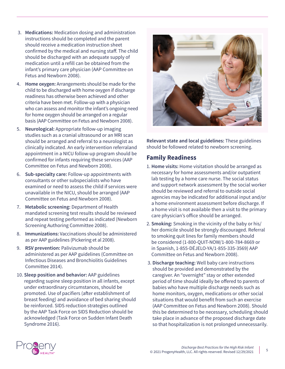- 3. **Medications:** Medication dosing and administration instructions should be completed and the parent should receive a medication instruction sheet confirmed by the medical and nursing staff. The child should be discharged with an adequate supply of medication until a refill can be obtained from the infant's primary care physician (AAP Committee on Fetus and Newborn 2008).
- 4. **Home oxygen:** Arrangements should be made for the child to be discharged with home oxygen if discharge readiness has otherwise been achieved and other criteria have been met. Follow-up with a physician who can assess and monitor the infant's ongoing need for home oxygen should be arranged on a regular basis (AAP Committee on Fetus and Newborn 2008).
- 5. **Neurological:** Appropriate follow-up imaging studies such as a cranial ultrasound or an MRI scan should be arranged and referral to a neurologist as clinically indicated. An early intervention referraland appointment in a NICU follow-up program should be confirmed for infants requiring these services (AAP Committee on Fetus and Newborn 2008).
- 6. **Sub-specialty care:** Follow-up appointments with consultants or other subspecialists who have examined or need to assess the child if services were unavailable in the NICU, should be arranged (AAP Committee on Fetus and Newborn 2008).
- 7. **Metabolic screening:** Department of Health mandated screening test results should be reviewed and repeat testing performed as indicated (Newborn Screening Authoring Committee 2008).
- 8. **Immunizations:** Vaccinations should be administered as per AAP guidelines (Pickering et al 2008).
- 9. **RSV prevention:** Palivizumab should be administered as per AAP guidelines (Committee on Infectious Diseases and Bronchiolitis Guidelines Committee 2014).
- 10. **Sleep position and behavior:** AAP guidelines regarding supine sleep position in all infants, except under extraordinary circumstances, should be promoted. Use of pacifiers (after establishment of breast feeding) and avoidance of bed sharing should be reinforced. SIDS reduction strategies outlined by the AAP Task Force on SIDS Reduction should be acknowledged (Task Force on Sudden Infant Death Syndrome 2016).



**Relevant state and local guidelines:** These guidelines should be followed related to newborn screening.

### **Family Readiness**

- 1. **Home visits:** Home visitation should be arranged as necessary for home assessments and/or outpatient lab testing by a home care nurse. The social status and support network assessment by the social worker should be reviewed and referral to outside social agencies may be indicated for additional input and/or a home environment assessment before discharge. If a home visit is not available then a visit to the primary care physician's office should be arranged.
- 2. **Smoking:** Smoking in the vicinity of the baby or his/ her domicile should be strongly discouraged. Referral to smoking quit lines for family members should be considered (1-800-QUIT-NOW/1-800-784-8669 or in Spanish, 1-855-DÉJELO-YA/1-855-335-3569) AAP Committee on Fetus and Newborn 2008).
- 3. **Discharge teaching:** Well baby care instructions should be provided and demonstrated by the caregiver. An "overnight" stay or other extended period of time should ideally be offered to parents of babies who have multiple discharge needs such as home monitors, oxygen, medications or other social situations that would benefit from such an exercise (AAP Committee on Fetus and Newborn 2008). Should this be determined to be necessary, scheduling should take place in advance of the proposed discharge date so that hospitalization is not prolonged unnecessarily.

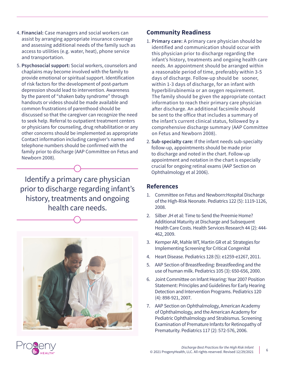- 4. **Financial:** Case managers and social workers can assist by arranging appropriate insurance coverage and assessing additional needs of the family such as access to utilities (e.g. water, heat), phone service and transportation.
- 5. **Psychosocial support:** Social workers, counselors and chaplains may become involved with the family to provide emotional or spiritual support. Identification of risk factors for the development of post-partum depression should lead to intervention. Awareness by the parent of "shaken baby syndrome" through handouts or videos should be made available and common frustrations of parenthood should be discussed so that the caregiver can recognize the need to seek help. Referral to outpatient treatment centers or physicians for counseling, drug rehabilitation or any other concerns should be implemented as appropriate Contact information including caregiver's names and telephone numbers should be confirmed with the family prior to discharge (AAP Committee on Fetus and Newborn 2008).

Identify a primary care physician prior to discharge regarding infant's history, treatments and ongoing health care needs.



#### **Community Readiness**

- 1. **Primary care:** A primary care physician should be identified and communication should occur with this physician prior to discharge regarding the infant's history, treatments and ongoing health care needs. An appointment should be arranged within a reasonable period of time, preferably within 3-5 days of discharge. Follow-up should be sooner, within 1-3 days of discharge, for an infant with hyperbilirubinemia or an oxygen requirement. The family should be given the appropriate contact information to reach their primary care physician after discharge. An additional facsimile should be sent to the office that includes a summary of the infant's current clinical status, followed by a comprehensive discharge summary (AAP Committee on Fetus and Newborn 2008).
- 2. **Sub-specialty care:** If the infant needs sub-specialty follow-up, appointments should be made prior to discharge and noted in the chart. Follow-up appointment and notation in the chart is especially crucial for ongoing retinal exams (AAP Section on Ophthalmology et al 2006).

#### **References**

- 1. Committee on Fetus and Newborn:Hospital Discharge of the High-Risk Neonate. Pediatrics 122 (5): 1119-1126, 2008.
- 2. Silber JH et al: Time to Send the Preemie Home? Additional Maturity at Discharge and Subsequent Health Care Costs. Health Services Research 44 (2): 444- 462, 2009.
- 3. Kemper AR, Mahle WT, Martin GR et al: Strategies for Implementing Screening for Critical Congenital
- 4. Heart Disease. Pediatrics 128 (5): e1259-e1267, 2011.
- 5. AAP Section of Breastfeeding: Breastfeeding and the use of human milk. Pediatrics 105 (3): 650-656, 2000.
- 6. Joint Committee on Infant Hearing: Year 2007 Position Statement: Principles and Guidelines for Early Hearing Detection and Intervention Programs. Pediatrics 120 (4): 898-921, 2007.
- 7. AAP Section on Ophthalmology, American Academy of Ophthalmology, and the American Academy for Pediatric Ophthalmology and Strabismus. Screening Examination of Premature Infants for Retinopathy of Prematurity. Pediatrics 117 (2): 572-576, 2006.